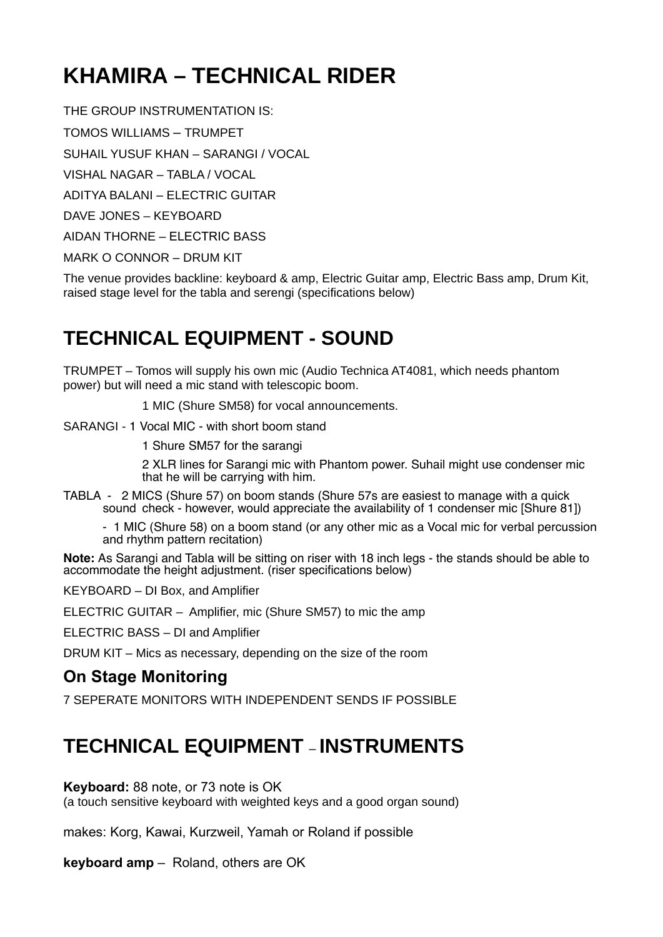# **KHAMIRA – TECHNICAL RIDER**

THE GROUP INSTRUMENTATION IS:

TOMOS WILLIAMS – TRUMPET

SUHAIL YUSUF KHAN – SARANGI / VOCAL

VISHAL NAGAR – TABLA / VOCAL

ADITYA BALANI – ELECTRIC GUITAR

DAVE JONES – KEYBOARD

AIDAN THORNE – ELECTRIC BASS

MARK O CONNOR – DRUM KIT

The venue provides backline: keyboard & amp, Electric Guitar amp, Electric Bass amp, Drum Kit, raised stage level for the tabla and serengi (specifications below)

### **TECHNICAL EQUIPMENT - SOUND**

TRUMPET – Tomos will supply his own mic (Audio Technica AT4081, which needs phantom power) but will need a mic stand with telescopic boom.

1 MIC (Shure SM58) for vocal announcements.

SARANGI - 1 Vocal MIC - with short boom stand

1 Shure SM57 for the sarangi

2 XLR lines for Sarangi mic with Phantom power. Suhail might use condenser mic that he will be carrying with him.

TABLA - 2 MICS (Shure 57) on boom stands (Shure 57s are easiest to manage with a quick sound check - however, would appreciate the availability of 1 condenser mic [Shure 81])

- 1 MIC (Shure 58) on a boom stand (or any other mic as a Vocal mic for verbal percussion and rhythm pattern recitation)

**Note:** As Sarangi and Tabla will be sitting on riser with 18 inch legs - the stands should be able to accommodate the height adjustment. (riser specifications below)

KEYBOARD – DI Box, and Amplifier

ELECTRIC GUITAR – Amplifier, mic (Shure SM57) to mic the amp

ELECTRIC BASS – DI and Amplifier

DRUM KIT – Mics as necessary, depending on the size of the room

### **On Stage Monitoring**

7 SEPERATE MONITORS WITH INDEPENDENT SENDS IF POSSIBLE

### **TECHNICAL EQUIPMENT** – **INSTRUMENTS**

#### **Keyboard:** 88 note, or 73 note is OK

(a touch sensitive keyboard with weighted keys and a good organ sound)

makes: Korg, Kawai, Kurzweil, Yamah or Roland if possible

**keyboard amp** – Roland, others are OK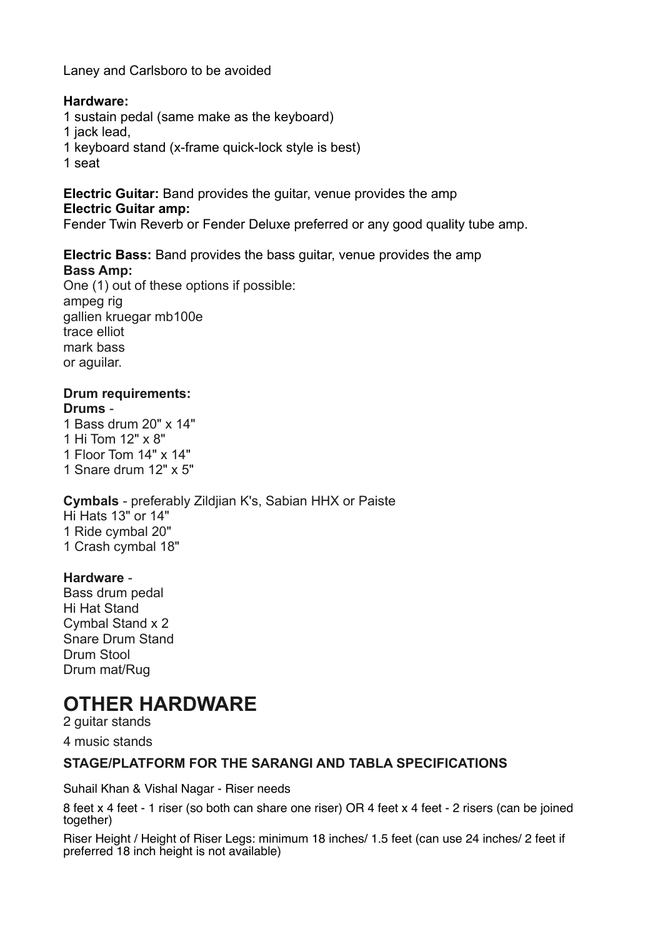Laney and Carlsboro to be avoided

#### **Hardware:**

- 1 sustain pedal (same make as the keyboard)
- 1 jack lead,
- 1 keyboard stand (x-frame quick-lock style is best)
- 1 seat

**Electric Guitar:** Band provides the guitar, venue provides the amp

#### **Electric Guitar amp:**

Fender Twin Reverb or Fender Deluxe preferred or any good quality tube amp.

#### **Electric Bass:** Band provides the bass guitar, venue provides the amp **Bass Amp:**

One (1) out of these options if possible: ampeg rig gallien kruegar mb100e trace elliot mark bass or aguilar.

#### **Drum requirements: Drums** -

1 Bass drum 20" x 14" 1 Hi Tom 12" x 8" 1 Floor Tom 14" x 14" 1 Snare drum 12" x 5"

#### **Cymbals** - preferably Zildjian K's, Sabian HHX or Paiste Hi Hats 13" or 14" 1 Ride cymbal 20" 1 Crash cymbal 18"

#### **Hardware** -

Bass drum pedal Hi Hat Stand Cymbal Stand x 2 Snare Drum Stand Drum Stool Drum mat/Rug

## **OTHER HARDWARE**

2 guitar stands

4 music stands

#### **STAGE/PLATFORM FOR THE SARANGI AND TABLA SPECIFICATIONS**

Suhail Khan & Vishal Nagar - Riser needs

8 feet x 4 feet - 1 riser (so both can share one riser) OR 4 feet x 4 feet - 2 risers (can be joined together)

Riser Height / Height of Riser Legs: minimum 18 inches/ 1.5 feet (can use 24 inches/ 2 feet if preferred 18 inch height is not available)